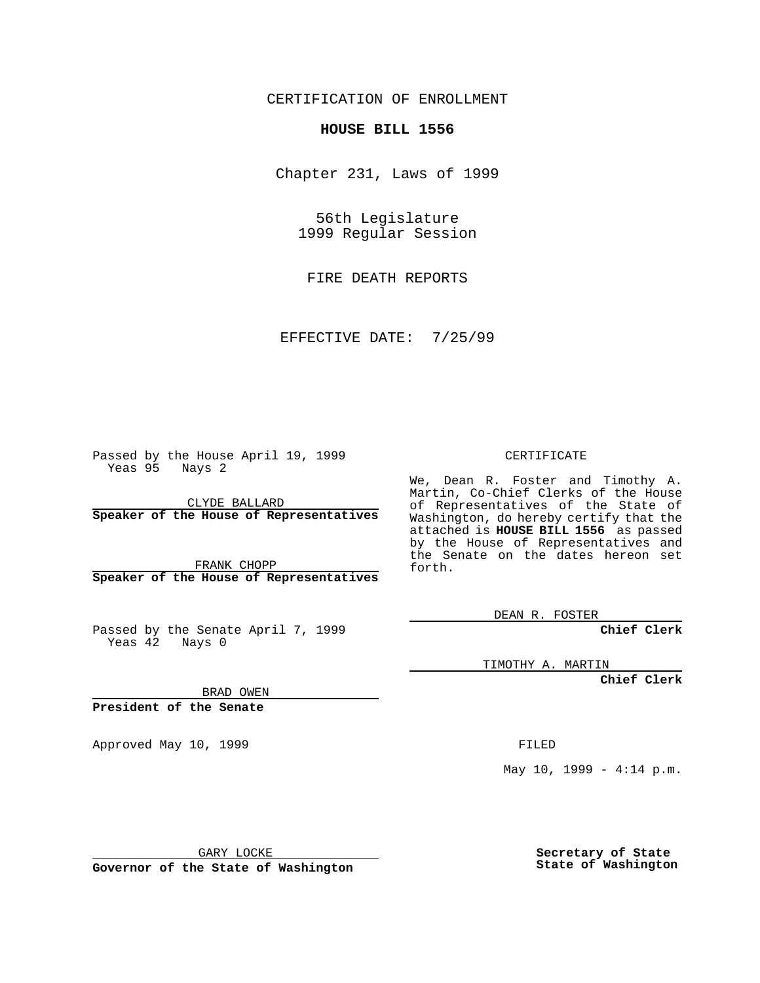CERTIFICATION OF ENROLLMENT

## **HOUSE BILL 1556**

Chapter 231, Laws of 1999

56th Legislature 1999 Regular Session

FIRE DEATH REPORTS

EFFECTIVE DATE: 7/25/99

Passed by the House April 19, 1999 Yeas 95 Nays 2

CLYDE BALLARD **Speaker of the House of Representatives**

FRANK CHOPP **Speaker of the House of Representatives**

Passed by the Senate April 7, 1999 Yeas 42 Nays 0

CERTIFICATE

We, Dean R. Foster and Timothy A. Martin, Co-Chief Clerks of the House of Representatives of the State of Washington, do hereby certify that the attached is **HOUSE BILL 1556** as passed by the House of Representatives and the Senate on the dates hereon set forth.

DEAN R. FOSTER

**Chief Clerk**

TIMOTHY A. MARTIN

**Chief Clerk**

BRAD OWEN

**President of the Senate**

Approved May 10, 1999 **FILED** 

May  $10$ ,  $1999 - 4:14$  p.m.

GARY LOCKE

**Governor of the State of Washington**

**Secretary of State State of Washington**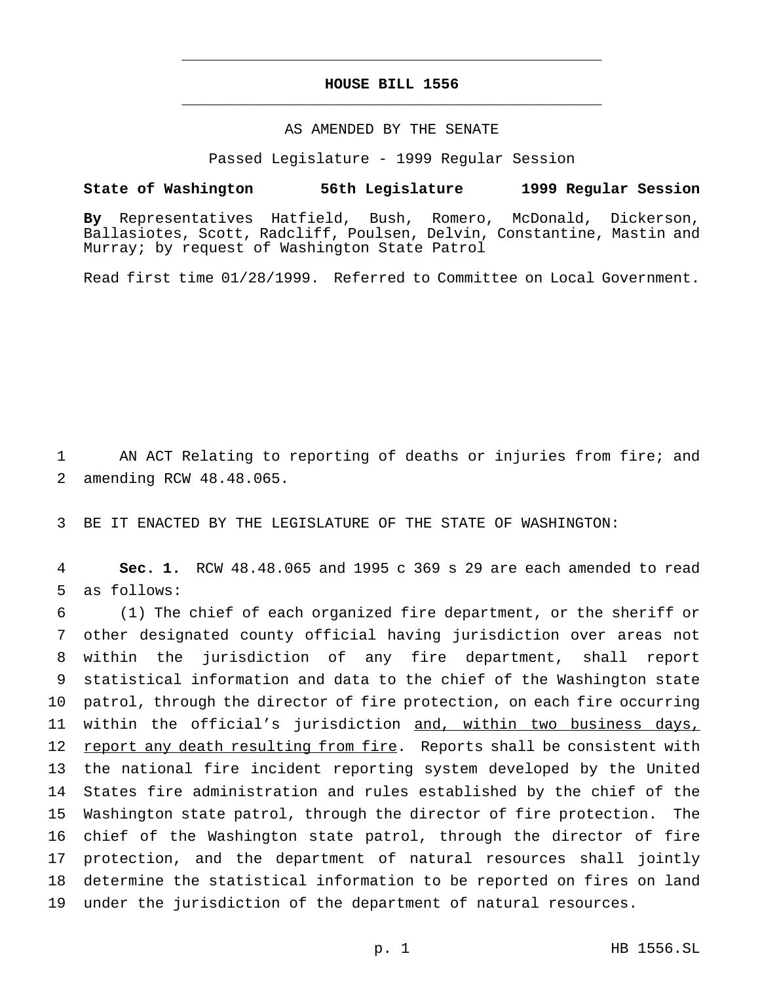## **HOUSE BILL 1556** \_\_\_\_\_\_\_\_\_\_\_\_\_\_\_\_\_\_\_\_\_\_\_\_\_\_\_\_\_\_\_\_\_\_\_\_\_\_\_\_\_\_\_\_\_\_\_

\_\_\_\_\_\_\_\_\_\_\_\_\_\_\_\_\_\_\_\_\_\_\_\_\_\_\_\_\_\_\_\_\_\_\_\_\_\_\_\_\_\_\_\_\_\_\_

## AS AMENDED BY THE SENATE

Passed Legislature - 1999 Regular Session

## **State of Washington 56th Legislature 1999 Regular Session**

**By** Representatives Hatfield, Bush, Romero, McDonald, Dickerson, Ballasiotes, Scott, Radcliff, Poulsen, Delvin, Constantine, Mastin and Murray; by request of Washington State Patrol

Read first time 01/28/1999. Referred to Committee on Local Government.

1 AN ACT Relating to reporting of deaths or injuries from fire; and 2 amending RCW 48.48.065.

3 BE IT ENACTED BY THE LEGISLATURE OF THE STATE OF WASHINGTON:

4 **Sec. 1.** RCW 48.48.065 and 1995 c 369 s 29 are each amended to read 5 as follows:

 (1) The chief of each organized fire department, or the sheriff or other designated county official having jurisdiction over areas not within the jurisdiction of any fire department, shall report statistical information and data to the chief of the Washington state patrol, through the director of fire protection, on each fire occurring 11 within the official's jurisdiction and, within two business days, 12 report any death resulting from fire. Reports shall be consistent with the national fire incident reporting system developed by the United States fire administration and rules established by the chief of the Washington state patrol, through the director of fire protection. The chief of the Washington state patrol, through the director of fire protection, and the department of natural resources shall jointly determine the statistical information to be reported on fires on land under the jurisdiction of the department of natural resources.